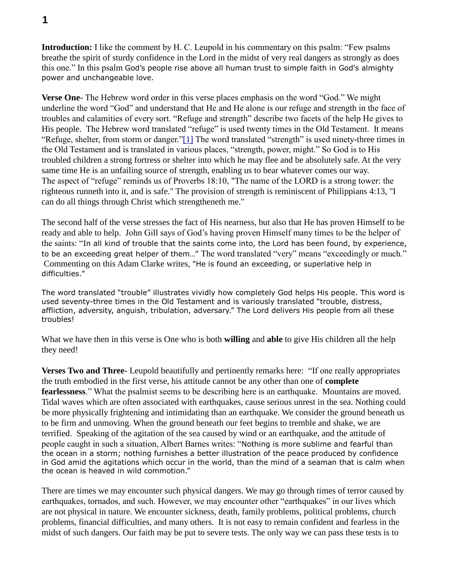**Introduction:** I like the comment by H. C. Leupold in his commentary on this psalm: "Few psalms breathe the spirit of sturdy confidence in the Lord in the midst of very real dangers as strongly as does this one." In this psalm God's people rise above all human trust to simple faith in God's almighty power and unchangeable love.

**Verse One-** The Hebrew word order in this verse places emphasis on the word "God." We might underline the word "God" and understand that He and He alone is our refuge and strength in the face of troubles and calamities of every sort. "Refuge and strength" describe two facets of the help He gives to His people. The Hebrew word translated "refuge" is used twenty times in the Old Testament. It means "Refuge, shelter, from storm or danger."[1] The word translated "strength" is used ninety-three times in the Old Testament and is translated in various places, "strength, power, might." So God is to His troubled children a strong fortress or shelter into which he may flee and be absolutely safe. At the very same time He is an unfailing source of strength, enabling us to bear whatever comes our way. The aspect of "refuge" reminds us of Proverbs 18:10, "The name of the LORD is a strong tower: the righteous runneth into it, and is safe." The provision of strength is reminiscent of Philippians 4:13, "I can do all things through Christ which strengtheneth me."

The second half of the verse stresses the fact of His nearness, but also that He has proven Himself to be ready and able to help. John Gill says of God's having proven Himself many times to be the helper of the saints: "In all kind of trouble that the saints come into, the Lord has been found, by experience, to be an exceeding great helper of them…" The word translated "very" means "exceedingly or much." Commenting on this Adam Clarke writes, "He is found an exceeding, or superlative help in difficulties."

The word translated "trouble" illustrates vividly how completely God helps His people. This word is used seventy-three times in the Old Testament and is variously translated "trouble, distress, affliction, adversity, anguish, tribulation, adversary." The Lord delivers His people from all these troubles!

What we have then in this verse is One who is both **willing** and **able** to give His children all the help they need!

**Verses Two and Three-** Leupold beautifully and pertinently remarks here: "If one really appropriates the truth embodied in the first verse, his attitude cannot be any other than one of **complete fearlessness**." What the psalmist seems to be describing here is an earthquake. Mountains are moved. Tidal waves which are often associated with earthquakes, cause serious unrest in the sea. Nothing could be more physically frightening and intimidating than an earthquake. We consider the ground beneath us to be firm and unmoving. When the ground beneath our feet begins to tremble and shake, we are terrified. Speaking of the agitation of the sea caused by wind or an earthquake, and the attitude of people caught in such a situation, Albert Barnes writes: "Nothing is more sublime and fearful than the ocean in a storm; nothing furnishes a better illustration of the peace produced by confidence in God amid the agitations which occur in the world, than the mind of a seaman that is calm when the ocean is heaved in wild commotion."

There are times we may encounter such physical dangers. We may go through times of terror caused by earthquakes, tornados, and such. However, we may encounter other "earthquakes" in our lives which are not physical in nature. We encounter sickness, death, family problems, political problems, church problems, financial difficulties, and many others. It is not easy to remain confident and fearless in the midst of such dangers. Our faith may be put to severe tests. The only way we can pass these tests is to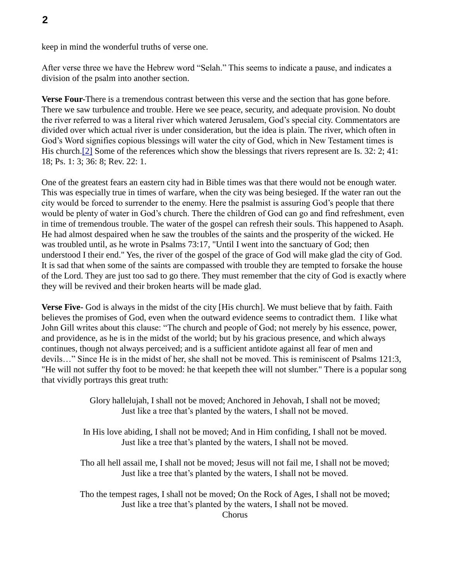keep in mind the wonderful truths of verse one.

After verse three we have the Hebrew word "Selah." This seems to indicate a pause, and indicates a division of the psalm into another section.

**Verse Four-**There is a tremendous contrast between this verse and the section that has gone before. There we saw turbulence and trouble. Here we see peace, security, and adequate provision. No doubt the river referred to was a literal river which watered Jerusalem, God's special city. Commentators are divided over which actual river is under consideration, but the idea is plain. The river, which often in God's Word signifies copious blessings will water the city of God, which in New Testament times is His church.[2] Some of the references which show the blessings that rivers represent are Is. 32: 2; 41: 18; Ps. 1: 3; 36: 8; Rev. 22: 1.

One of the greatest fears an eastern city had in Bible times was that there would not be enough water. This was especially true in times of warfare, when the city was being besieged. If the water ran out the city would be forced to surrender to the enemy. Here the psalmist is assuring God's people that there would be plenty of water in God's church. There the children of God can go and find refreshment, even in time of tremendous trouble. The water of the gospel can refresh their souls. This happened to Asaph. He had almost despaired when he saw the troubles of the saints and the prosperity of the wicked. He was troubled until, as he wrote in Psalms 73:17, "Until I went into the sanctuary of God; then understood I their end." Yes, the river of the gospel of the grace of God will make glad the city of God. It is sad that when some of the saints are compassed with trouble they are tempted to forsake the house of the Lord. They are just too sad to go there. They must remember that the city of God is exactly where they will be revived and their broken hearts will be made glad.

**Verse Five-** God is always in the midst of the city [His church]. We must believe that by faith. Faith believes the promises of God, even when the outward evidence seems to contradict them. I like what John Gill writes about this clause: "The church and people of God; not merely by his essence, power, and providence, as he is in the midst of the world; but by his gracious presence, and which always continues, though not always perceived; and is a sufficient antidote against all fear of men and devils…" Since He is in the midst of her, she shall not be moved. This is reminiscent of Psalms 121:3, "He will not suffer thy foot to be moved: he that keepeth thee will not slumber." There is a popular song that vividly portrays this great truth:

> Glory hallelujah, I shall not be moved; Anchored in Jehovah, I shall not be moved; Just like a tree that's planted by the waters, I shall not be moved.

In His love abiding, I shall not be moved; And in Him confiding, I shall not be moved. Just like a tree that's planted by the waters, I shall not be moved.

Tho all hell assail me, I shall not be moved; Jesus will not fail me, I shall not be moved; Just like a tree that's planted by the waters, I shall not be moved.

Tho the tempest rages, I shall not be moved; On the Rock of Ages, I shall not be moved; Just like a tree that's planted by the waters, I shall not be moved.

Chorus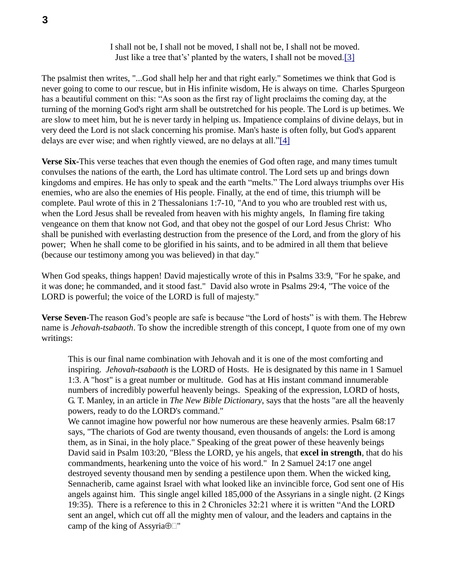## I shall not be, I shall not be moved, I shall not be, I shall not be moved. Just like a tree that's' planted by the waters, I shall not be moved.[3]

The psalmist then writes, "...God shall help her and that right early." Sometimes we think that God is never going to come to our rescue, but in His infinite wisdom, He is always on time. Charles Spurgeon has a beautiful comment on this: "As soon as the first ray of light proclaims the coming day, at the turning of the morning God's right arm shall be outstretched for his people. The Lord is up betimes. We are slow to meet him, but he is never tardy in helping us. Impatience complains of divine delays, but in very deed the Lord is not slack concerning his promise. Man's haste is often folly, but God's apparent delays are ever wise; and when rightly viewed, are no delays at all."[4]

**Verse Six-**This verse teaches that even though the enemies of God often rage, and many times tumult convulses the nations of the earth, the Lord has ultimate control. The Lord sets up and brings down kingdoms and empires. He has only to speak and the earth "melts." The Lord always triumphs over His enemies, who are also the enemies of His people. Finally, at the end of time, this triumph will be complete. Paul wrote of this in 2 Thessalonians 1:7-10, "And to you who are troubled rest with us, when the Lord Jesus shall be revealed from heaven with his mighty angels, In flaming fire taking vengeance on them that know not God, and that obey not the gospel of our Lord Jesus Christ: Who shall be punished with everlasting destruction from the presence of the Lord, and from the glory of his power; When he shall come to be glorified in his saints, and to be admired in all them that believe (because our testimony among you was believed) in that day."

When God speaks, things happen! David majestically wrote of this in Psalms 33:9, "For he spake, and it was done; he commanded, and it stood fast." David also wrote in Psalms 29:4, "The voice of the LORD is powerful; the voice of the LORD is full of majesty."

**Verse Seven-**The reason God's people are safe is because "the Lord of hosts" is with them. The Hebrew name is *Jehovah-tsabaoth*. To show the incredible strength of this concept, I quote from one of my own writings:

This is our final name combination with Jehovah and it is one of the most comforting and inspiring. *Jehovah-tsabaoth* is the LORD of Hosts. He is designated by this name in 1 Samuel 1:3. A "host" is a great number or multitude. God has at His instant command innumerable numbers of incredibly powerful heavenly beings. Speaking of the expression, LORD of hosts, G. T. Manley, in an article in *The New Bible Dictionary*, says that the hosts "are all the heavenly powers, ready to do the LORD's command."

We cannot imagine how powerful nor how numerous are these heavenly armies. Psalm  $68:17$ says, "The chariots of God are twenty thousand, even thousands of angels: the Lord is among them, as in Sinai, in the holy place." Speaking of the great power of these heavenly beings David said in Psalm 103:20, "Bless the LORD, ye his angels, that **excel in strength**, that do his commandments, hearkening unto the voice of his word." In 2 Samuel 24:17 one angel destroyed seventy thousand men by sending a pestilence upon them. When the wicked king, Sennacherib, came against Israel with what looked like an invincible force, God sent one of His angels against him. This single angel killed 185,000 of the Assyrians in a single night. (2 Kings 19:35). There is a reference to this in 2 Chronicles 32:21 where it is written "And the LORD sent an angel, which cut off all the mighty men of valour, and the leaders and captains in the camp of the king of Assyria $\bigoplus$ "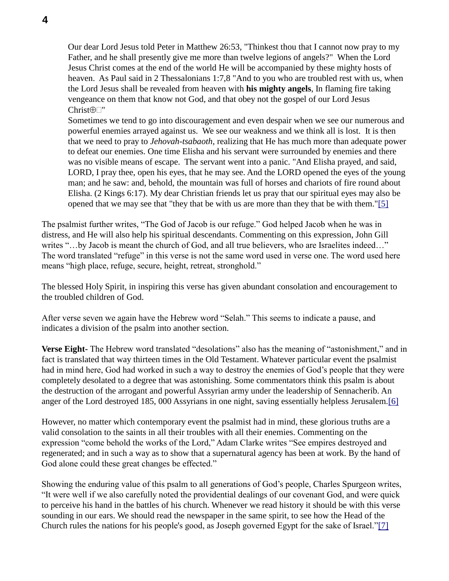Our dear Lord Jesus told Peter in Matthew 26:53, "Thinkest thou that I cannot now pray to my Father, and he shall presently give me more than twelve legions of angels?" When the Lord Jesus Christ comes at the end of the world He will be accompanied by these mighty hosts of heaven. As Paul said in 2 Thessalonians 1:7,8 "And to you who are troubled rest with us, when the Lord Jesus shall be revealed from heaven with **his mighty angels**, In flaming fire taking vengeance on them that know not God, and that obey not the gospel of our Lord Jesus  $Christ  $\oplus$$ 

Sometimes we tend to go into discouragement and even despair when we see our numerous and powerful enemies arrayed against us. We see our weakness and we think all is lost. It is then that we need to pray to *Jehovah-tsabaoth*, realizing that He has much more than adequate power to defeat our enemies. One time Elisha and his servant were surrounded by enemies and there was no visible means of escape. The servant went into a panic. "And Elisha prayed, and said, LORD, I pray thee, open his eyes, that he may see. And the LORD opened the eyes of the young man; and he saw: and, behold, the mountain was full of horses and chariots of fire round about Elisha. (2 Kings 6:17). My dear Christian friends let us pray that our spiritual eyes may also be opened that we may see that "they that be with us are more than they that be with them."[5]

The psalmist further writes, "The God of Jacob is our refuge." God helped Jacob when he was in distress, and He will also help his spiritual descendants. Commenting on this expression, John Gill writes "…by Jacob is meant the church of God, and all true believers, who are Israelites indeed…" The word translated "refuge" in this verse is not the same word used in verse one. The word used here means "high place, refuge, secure, height, retreat, stronghold."

The blessed Holy Spirit, in inspiring this verse has given abundant consolation and encouragement to the troubled children of God.

After verse seven we again have the Hebrew word "Selah." This seems to indicate a pause, and indicates a division of the psalm into another section.

**Verse Eight-** The Hebrew word translated "desolations" also has the meaning of "astonishment," and in fact is translated that way thirteen times in the Old Testament. Whatever particular event the psalmist had in mind here, God had worked in such a way to destroy the enemies of God's people that they were completely desolated to a degree that was astonishing. Some commentators think this psalm is about the destruction of the arrogant and powerful Assyrian army under the leadership of Sennacherib. An anger of the Lord destroyed 185, 000 Assyrians in one night, saving essentially helpless Jerusalem.[6]

However, no matter which contemporary event the psalmist had in mind, these glorious truths are a valid consolation to the saints in all their troubles with all their enemies. Commenting on the expression "come behold the works of the Lord," Adam Clarke writes "See empires destroyed and regenerated; and in such a way as to show that a supernatural agency has been at work. By the hand of God alone could these great changes be effected."

Showing the enduring value of this psalm to all generations of God's people, Charles Spurgeon writes, "It were well if we also carefully noted the providential dealings of our covenant God, and were quick to perceive his hand in the battles of his church. Whenever we read history it should be with this verse sounding in our ears. We should read the newspaper in the same spirit, to see how the Head of the Church rules the nations for his people's good, as Joseph governed Egypt for the sake of Israel."[7]